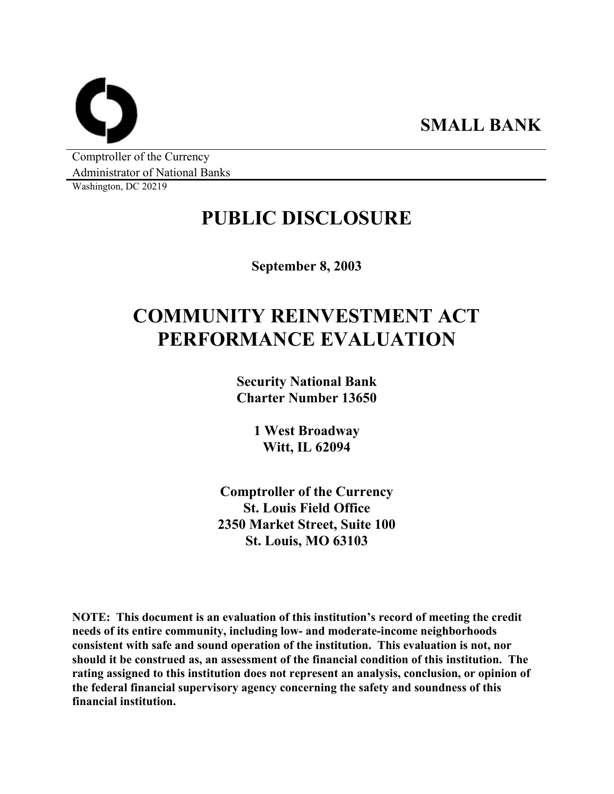**SMALL BANK** 

Comptroller of the Currency Administrator of National Banks

Washington, DC 20219

## **PUBLIC DISCLOSURE**

**September 8, 2003** 

# **COMMUNITY REINVESTMENT ACT PERFORMANCE EVALUATION**

**Security National Bank Charter Number 13650** 

> **1 West Broadway Witt, IL 62094**

**Comptroller of the Currency St. Louis Field Office 2350 Market Street, Suite 100 St. Louis, MO 63103** 

**NOTE: This document is an evaluation of this institution's record of meeting the credit needs of its entire community, including low- and moderate-income neighborhoods consistent with safe and sound operation of the institution. This evaluation is not, nor should it be construed as, an assessment of the financial condition of this institution. The rating assigned to this institution does not represent an analysis, conclusion, or opinion of the federal financial supervisory agency concerning the safety and soundness of this financial institution.**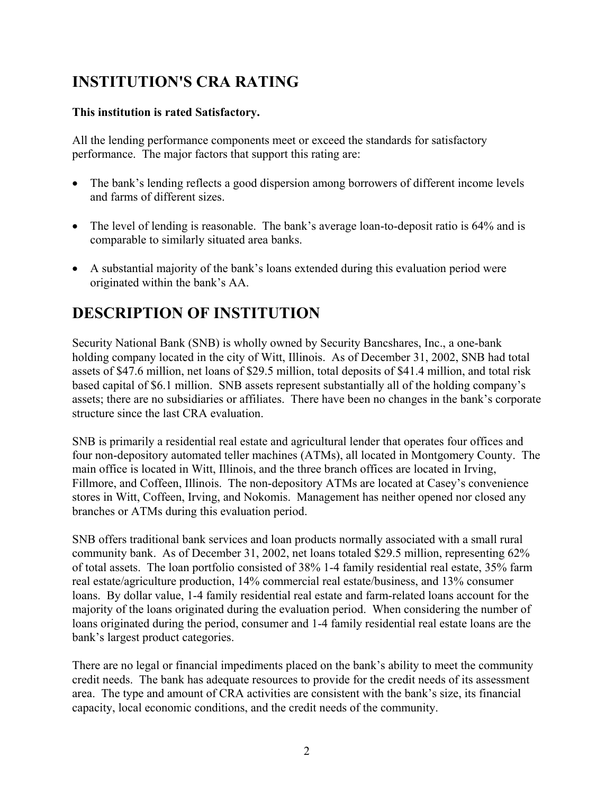## **INSTITUTION'S CRA RATING**

## **This institution is rated Satisfactory.**

All the lending performance components meet or exceed the standards for satisfactory performance. The major factors that support this rating are:

- The bank's lending reflects a good dispersion among borrowers of different income levels and farms of different sizes.
- The level of lending is reasonable. The bank's average loan-to-deposit ratio is 64% and is comparable to similarly situated area banks.
- A substantial majority of the bank's loans extended during this evaluation period were originated within the bank's AA.

## **DESCRIPTION OF INSTITUTION**

Security National Bank (SNB) is wholly owned by Security Bancshares, Inc., a one-bank holding company located in the city of Witt, Illinois. As of December 31, 2002, SNB had total assets of \$47.6 million, net loans of \$29.5 million, total deposits of \$41.4 million, and total risk based capital of \$6.1 million. SNB assets represent substantially all of the holding company's assets; there are no subsidiaries or affiliates. There have been no changes in the bank's corporate structure since the last CRA evaluation.

SNB is primarily a residential real estate and agricultural lender that operates four offices and four non-depository automated teller machines (ATMs), all located in Montgomery County. The main office is located in Witt, Illinois, and the three branch offices are located in Irving, Fillmore, and Coffeen, Illinois. The non-depository ATMs are located at Casey's convenience stores in Witt, Coffeen, Irving, and Nokomis. Management has neither opened nor closed any branches or ATMs during this evaluation period.

SNB offers traditional bank services and loan products normally associated with a small rural community bank. As of December 31, 2002, net loans totaled \$29.5 million, representing 62% of total assets. The loan portfolio consisted of 38% 1-4 family residential real estate, 35% farm real estate/agriculture production, 14% commercial real estate/business, and 13% consumer loans. By dollar value, 1-4 family residential real estate and farm-related loans account for the majority of the loans originated during the evaluation period. When considering the number of loans originated during the period, consumer and 1-4 family residential real estate loans are the bank's largest product categories.

There are no legal or financial impediments placed on the bank's ability to meet the community credit needs. The bank has adequate resources to provide for the credit needs of its assessment area. The type and amount of CRA activities are consistent with the bank's size, its financial capacity, local economic conditions, and the credit needs of the community.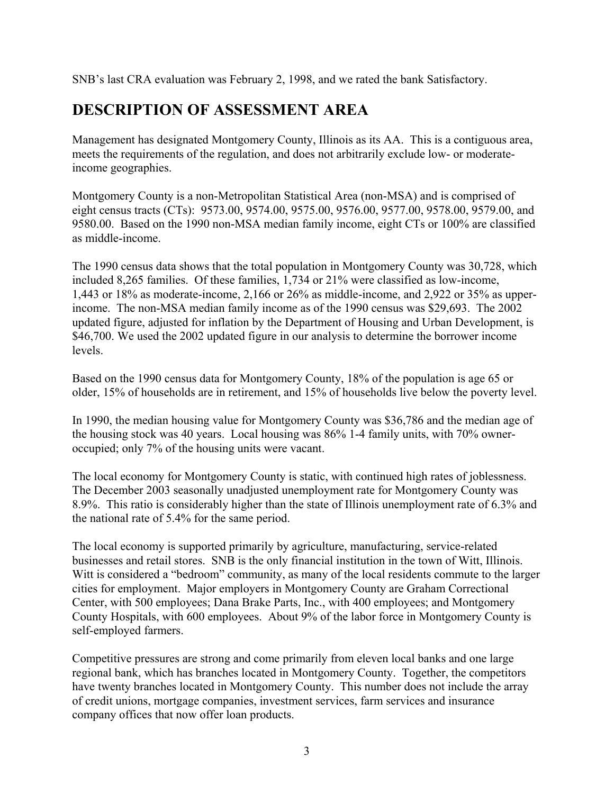SNB's last CRA evaluation was February 2, 1998, and we rated the bank Satisfactory.

## **DESCRIPTION OF ASSESSMENT AREA**

Management has designated Montgomery County, Illinois as its AA. This is a contiguous area, meets the requirements of the regulation, and does not arbitrarily exclude low- or moderateincome geographies.

Montgomery County is a non-Metropolitan Statistical Area (non-MSA) and is comprised of eight census tracts (CTs): 9573.00, 9574.00, 9575.00, 9576.00, 9577.00, 9578.00, 9579.00, and 9580.00. Based on the 1990 non-MSA median family income, eight CTs or 100% are classified as middle-income.

The 1990 census data shows that the total population in Montgomery County was 30,728, which included 8,265 families. Of these families, 1,734 or 21% were classified as low-income, 1,443 or 18% as moderate-income, 2,166 or 26% as middle-income, and 2,922 or 35% as upperincome. The non-MSA median family income as of the 1990 census was \$29,693. The 2002 updated figure, adjusted for inflation by the Department of Housing and Urban Development, is \$46,700. We used the 2002 updated figure in our analysis to determine the borrower income levels.

Based on the 1990 census data for Montgomery County, 18% of the population is age 65 or older, 15% of households are in retirement, and 15% of households live below the poverty level.

In 1990, the median housing value for Montgomery County was \$36,786 and the median age of the housing stock was 40 years. Local housing was 86% 1-4 family units, with 70% owneroccupied; only 7% of the housing units were vacant.

The local economy for Montgomery County is static, with continued high rates of joblessness. The December 2003 seasonally unadjusted unemployment rate for Montgomery County was 8.9%. This ratio is considerably higher than the state of Illinois unemployment rate of 6.3% and the national rate of 5.4% for the same period.

The local economy is supported primarily by agriculture, manufacturing, service-related businesses and retail stores. SNB is the only financial institution in the town of Witt, Illinois. Witt is considered a "bedroom" community, as many of the local residents commute to the larger cities for employment. Major employers in Montgomery County are Graham Correctional Center, with 500 employees; Dana Brake Parts, Inc., with 400 employees; and Montgomery County Hospitals, with 600 employees. About 9% of the labor force in Montgomery County is self-employed farmers.

Competitive pressures are strong and come primarily from eleven local banks and one large regional bank, which has branches located in Montgomery County. Together, the competitors have twenty branches located in Montgomery County. This number does not include the array of credit unions, mortgage companies, investment services, farm services and insurance company offices that now offer loan products.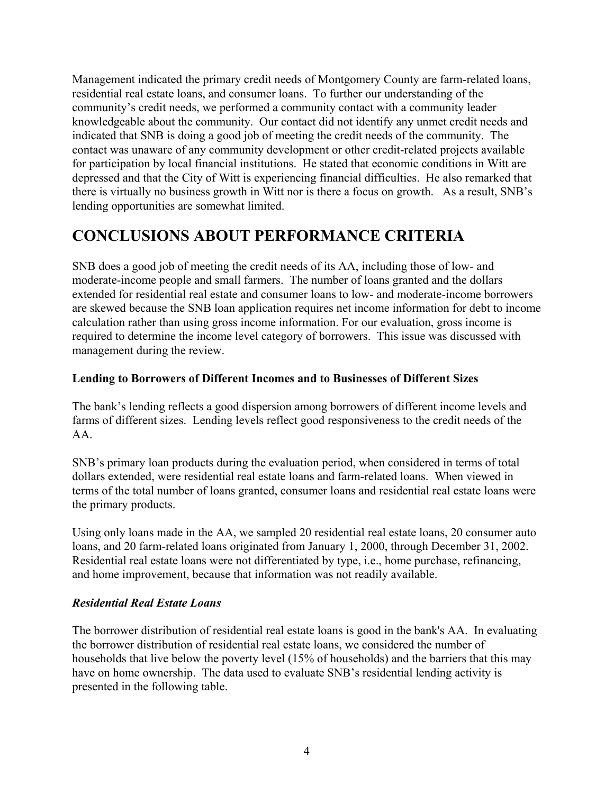Management indicated the primary credit needs of Montgomery County are farm-related loans, residential real estate loans, and consumer loans. To further our understanding of the community's credit needs, we performed a community contact with a community leader knowledgeable about the community. Our contact did not identify any unmet credit needs and indicated that SNB is doing a good job of meeting the credit needs of the community. The contact was unaware of any community development or other credit-related projects available for participation by local financial institutions. He stated that economic conditions in Witt are depressed and that the City of Witt is experiencing financial difficulties. He also remarked that there is virtually no business growth in Witt nor is there a focus on growth. As a result, SNB's lending opportunities are somewhat limited.

## **CONCLUSIONS ABOUT PERFORMANCE CRITERIA**

SNB does a good job of meeting the credit needs of its AA, including those of low- and moderate-income people and small farmers. The number of loans granted and the dollars extended for residential real estate and consumer loans to low- and moderate-income borrowers are skewed because the SNB loan application requires net income information for debt to income calculation rather than using gross income information. For our evaluation, gross income is required to determine the income level category of borrowers. This issue was discussed with management during the review.

## **Lending to Borrowers of Different Incomes and to Businesses of Different Sizes**

The bank's lending reflects a good dispersion among borrowers of different income levels and farms of different sizes. Lending levels reflect good responsiveness to the credit needs of the AA.

SNB's primary loan products during the evaluation period, when considered in terms of total dollars extended, were residential real estate loans and farm-related loans. When viewed in terms of the total number of loans granted, consumer loans and residential real estate loans were the primary products.

Using only loans made in the AA, we sampled 20 residential real estate loans, 20 consumer auto loans, and 20 farm-related loans originated from January 1, 2000, through December 31, 2002. Residential real estate loans were not differentiated by type, i.e., home purchase, refinancing, and home improvement, because that information was not readily available.

## *Residential Real Estate Loans*

The borrower distribution of residential real estate loans is good in the bank's AA. In evaluating the borrower distribution of residential real estate loans, we considered the number of households that live below the poverty level (15% of households) and the barriers that this may have on home ownership. The data used to evaluate SNB's residential lending activity is presented in the following table.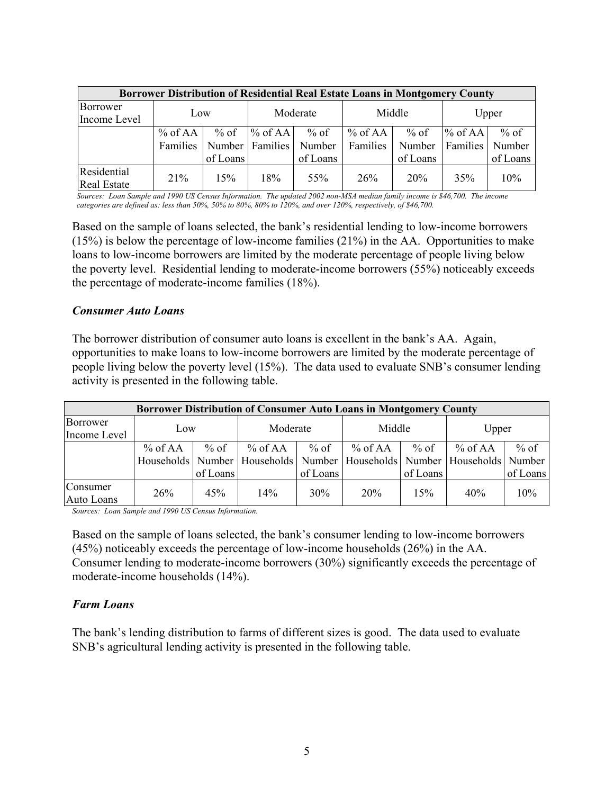| <b>Borrower Distribution of Residential Real Estate Loans in Montgomery County</b> |           |          |                 |          |           |          |          |          |
|------------------------------------------------------------------------------------|-----------|----------|-----------------|----------|-----------|----------|----------|----------|
| Borrower                                                                           | Low       |          | Moderate        |          | Middle    |          | Upper    |          |
| Income Level                                                                       |           |          |                 |          |           |          |          |          |
|                                                                                    | $%$ of AA | $%$ of   | $\%$ of AA      | $%$ of   | $%$ of AA | % of     | % of AA  | $%$ of   |
|                                                                                    | Families  | Number   | <b>Families</b> | Number   | Families  | Number   | Families | Number   |
|                                                                                    |           | of Loans |                 | of Loans |           | of Loans |          | of Loans |
| Residential<br><b>Real Estate</b>                                                  | 21%       | 15%      | 18%             | 55%      | 26%       | 20%      | 35%      | 10%      |

*Sources: Loan Sample and 1990 US Census Information. The updated 2002 non-MSA median family income is \$46,700. The income categories are defined as: less than 50%, 50% to 80%, 80% to 120%, and over 120%, respectively, of \$46,700.*

Based on the sample of loans selected, the bank's residential lending to low-income borrowers (15%) is below the percentage of low-income families (21%) in the AA. Opportunities to make loans to low-income borrowers are limited by the moderate percentage of people living below the poverty level. Residential lending to moderate-income borrowers (55%) noticeably exceeds the percentage of moderate-income families (18%).

### *Consumer Auto Loans*

The borrower distribution of consumer auto loans is excellent in the bank's AA. Again, opportunities to make loans to low-income borrowers are limited by the moderate percentage of people living below the poverty level (15%). The data used to evaluate SNB's consumer lending activity is presented in the following table.

| <b>Borrower Distribution of Consumer Auto Loans in Montgomery County</b> |           |          |                                                                               |          |           |          |           |          |
|--------------------------------------------------------------------------|-----------|----------|-------------------------------------------------------------------------------|----------|-----------|----------|-----------|----------|
| Borrower<br>Income Level                                                 | Low       |          | Moderate                                                                      |          | Middle    |          | Upper     |          |
|                                                                          | $%$ of AA | $%$ of   | $%$ of AA                                                                     | $%$ of   | % of $AA$ | $%$ of   | $%$ of AA | $%$ of   |
|                                                                          |           |          | Households Number   Households Number   Households Number   Households Number |          |           |          |           |          |
|                                                                          |           | of Loans |                                                                               | of Loans |           | of Loans |           | of Loans |
| Consumer<br>Auto Loans                                                   | 26%       | 45%      | 14%                                                                           | 30%      | 20%       | 15%      | 40%       | 10%      |

*Sources: Loan Sample and 1990 US Census Information.* 

Based on the sample of loans selected, the bank's consumer lending to low-income borrowers (45%) noticeably exceeds the percentage of low-income households (26%) in the AA. Consumer lending to moderate-income borrowers (30%) significantly exceeds the percentage of moderate-income households (14%).

#### *Farm Loans*

The bank's lending distribution to farms of different sizes is good. The data used to evaluate SNB's agricultural lending activity is presented in the following table.